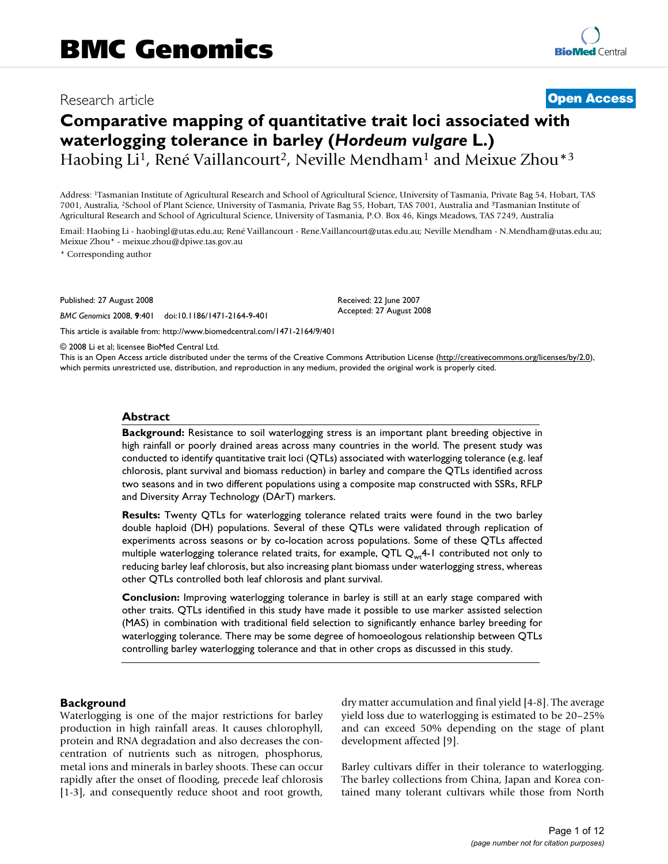# Research article **[Open Access](http://www.biomedcentral.com/info/about/charter/)**

# **Comparative mapping of quantitative trait loci associated with waterlogging tolerance in barley (***Hordeum vulgare* **L.)** Haobing Li<sup>1</sup>, René Vaillancourt<sup>2</sup>, Neville Mendham<sup>1</sup> and Meixue Zhou<sup>\*3</sup>

Address: 1Tasmanian Institute of Agricultural Research and School of Agricultural Science, University of Tasmania, Private Bag 54, Hobart, TAS 7001, Australia, 2School of Plant Science, University of Tasmania, Private Bag 55, Hobart, TAS 7001, Australia and 3Tasmanian Institute of Agricultural Research and School of Agricultural Science, University of Tasmania, P.O. Box 46, Kings Meadows, TAS 7249, Australia

Email: Haobing Li - haobingl@utas.edu.au; René Vaillancourt - Rene.Vaillancourt@utas.edu.au; Neville Mendham - N.Mendham@utas.edu.au; Meixue Zhou\* - meixue.zhou@dpiwe.tas.gov.au

> Received: 22 June 2007 Accepted: 27 August 2008

\* Corresponding author

Published: 27 August 2008

*BMC Genomics* 2008, **9**:401 doi:10.1186/1471-2164-9-401

[This article is available from: http://www.biomedcentral.com/1471-2164/9/401](http://www.biomedcentral.com/1471-2164/9/401)

© 2008 Li et al; licensee BioMed Central Ltd.

This is an Open Access article distributed under the terms of the Creative Commons Attribution License [\(http://creativecommons.org/licenses/by/2.0\)](http://creativecommons.org/licenses/by/2.0), which permits unrestricted use, distribution, and reproduction in any medium, provided the original work is properly cited.

#### **Abstract**

**Background:** Resistance to soil waterlogging stress is an important plant breeding objective in high rainfall or poorly drained areas across many countries in the world. The present study was conducted to identify quantitative trait loci (QTLs) associated with waterlogging tolerance (e.g. leaf chlorosis, plant survival and biomass reduction) in barley and compare the QTLs identified across two seasons and in two different populations using a composite map constructed with SSRs, RFLP and Diversity Array Technology (DArT) markers.

**Results:** Twenty QTLs for waterlogging tolerance related traits were found in the two barley double haploid (DH) populations. Several of these QTLs were validated through replication of experiments across seasons or by co-location across populations. Some of these QTLs affected multiple waterlogging tolerance related traits, for example, QTL  $Q_{wr}$ 4-1 contributed not only to reducing barley leaf chlorosis, but also increasing plant biomass under waterlogging stress, whereas other QTLs controlled both leaf chlorosis and plant survival.

**Conclusion:** Improving waterlogging tolerance in barley is still at an early stage compared with other traits. QTLs identified in this study have made it possible to use marker assisted selection (MAS) in combination with traditional field selection to significantly enhance barley breeding for waterlogging tolerance. There may be some degree of homoeologous relationship between QTLs controlling barley waterlogging tolerance and that in other crops as discussed in this study.

#### **Background**

Waterlogging is one of the major restrictions for barley production in high rainfall areas. It causes chlorophyll, protein and RNA degradation and also decreases the concentration of nutrients such as nitrogen, phosphorus, metal ions and minerals in barley shoots. These can occur rapidly after the onset of flooding, precede leaf chlorosis [1-3], and consequently reduce shoot and root growth, dry matter accumulation and final yield [4-8]. The average yield loss due to waterlogging is estimated to be 20–25% and can exceed 50% depending on the stage of plant development affected [9].

Barley cultivars differ in their tolerance to waterlogging. The barley collections from China, Japan and Korea contained many tolerant cultivars while those from North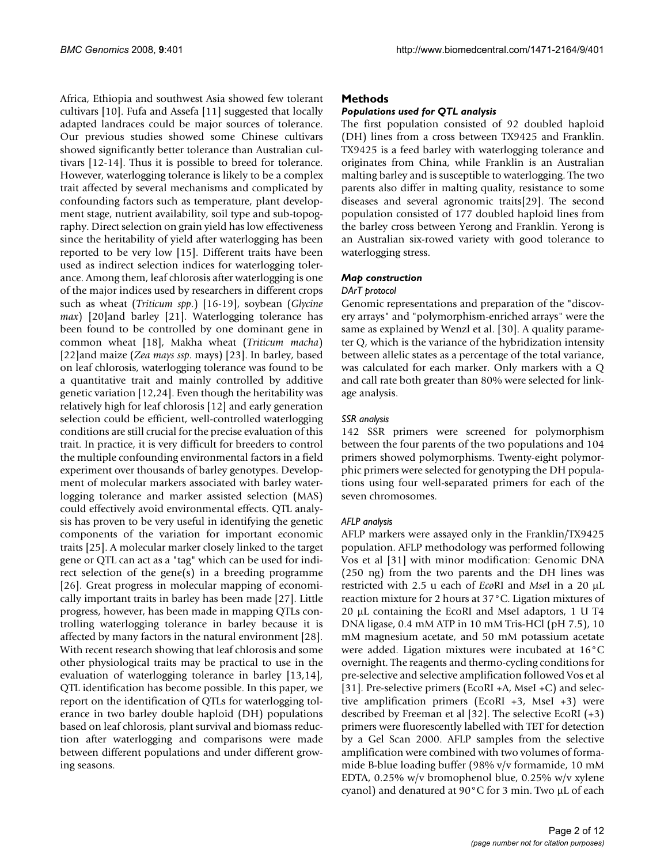Africa, Ethiopia and southwest Asia showed few tolerant cultivars [10]. Fufa and Assefa [11] suggested that locally adapted landraces could be major sources of tolerance. Our previous studies showed some Chinese cultivars showed significantly better tolerance than Australian cultivars [12-14]. Thus it is possible to breed for tolerance. However, waterlogging tolerance is likely to be a complex trait affected by several mechanisms and complicated by confounding factors such as temperature, plant development stage, nutrient availability, soil type and sub-topography. Direct selection on grain yield has low effectiveness since the heritability of yield after waterlogging has been reported to be very low [15]. Different traits have been used as indirect selection indices for waterlogging tolerance. Among them, leaf chlorosis after waterlogging is one of the major indices used by researchers in different crops such as wheat (*Triticum spp*.) [16-19], soybean (*Glycine max*) [20]and barley [21]. Waterlogging tolerance has been found to be controlled by one dominant gene in common wheat [18], Makha wheat (*Triticum macha*) [22]and maize (*Zea mays ssp*. mays) [23]. In barley, based on leaf chlorosis, waterlogging tolerance was found to be a quantitative trait and mainly controlled by additive genetic variation [12,24]. Even though the heritability was relatively high for leaf chlorosis [12] and early generation selection could be efficient, well-controlled waterlogging conditions are still crucial for the precise evaluation of this trait. In practice, it is very difficult for breeders to control the multiple confounding environmental factors in a field experiment over thousands of barley genotypes. Development of molecular markers associated with barley waterlogging tolerance and marker assisted selection (MAS) could effectively avoid environmental effects. QTL analysis has proven to be very useful in identifying the genetic components of the variation for important economic traits [25]. A molecular marker closely linked to the target gene or QTL can act as a "tag" which can be used for indirect selection of the gene(s) in a breeding programme [26]. Great progress in molecular mapping of economically important traits in barley has been made [27]. Little progress, however, has been made in mapping QTLs controlling waterlogging tolerance in barley because it is affected by many factors in the natural environment [28]. With recent research showing that leaf chlorosis and some other physiological traits may be practical to use in the evaluation of waterlogging tolerance in barley [13,14], QTL identification has become possible. In this paper, we report on the identification of QTLs for waterlogging tolerance in two barley double haploid (DH) populations based on leaf chlorosis, plant survival and biomass reduction after waterlogging and comparisons were made between different populations and under different growing seasons.

# **Methods**

# *Populations used for QTL analysis*

The first population consisted of 92 doubled haploid (DH) lines from a cross between TX9425 and Franklin. TX9425 is a feed barley with waterlogging tolerance and originates from China, while Franklin is an Australian malting barley and is susceptible to waterlogging. The two parents also differ in malting quality, resistance to some diseases and several agronomic traits[29]. The second population consisted of 177 doubled haploid lines from the barley cross between Yerong and Franklin. Yerong is an Australian six-rowed variety with good tolerance to waterlogging stress.

# *Map construction*

# *DArT protocol*

Genomic representations and preparation of the "discovery arrays" and "polymorphism-enriched arrays" were the same as explained by Wenzl et al. [30]. A quality parameter Q, which is the variance of the hybridization intensity between allelic states as a percentage of the total variance, was calculated for each marker. Only markers with a Q and call rate both greater than 80% were selected for linkage analysis.

# *SSR analysis*

142 SSR primers were screened for polymorphism between the four parents of the two populations and 104 primers showed polymorphisms. Twenty-eight polymorphic primers were selected for genotyping the DH populations using four well-separated primers for each of the seven chromosomes.

# *AFLP analysis*

AFLP markers were assayed only in the Franklin/TX9425 population. AFLP methodology was performed following Vos et al [31] with minor modification: Genomic DNA (250 ng) from the two parents and the DH lines was restricted with 2.5 u each of *Eco*RI and *Mse*I in a 20 μL reaction mixture for 2 hours at 37°C. Ligation mixtures of 20 μL containing the EcoRI and MseI adaptors, 1 U T4 DNA ligase, 0.4 mM ATP in 10 mM Tris-HCl (pH 7.5), 10 mM magnesium acetate, and 50 mM potassium acetate were added. Ligation mixtures were incubated at 16°C overnight. The reagents and thermo-cycling conditions for pre-selective and selective amplification followed Vos et al [31]. Pre-selective primers (EcoRI +A, MseI +C) and selective amplification primers (EcoRI  $+3$ , MseI  $+3$ ) were described by Freeman et al [32]. The selective EcoRI (+3) primers were fluorescently labelled with TET for detection by a Gel Scan 2000. AFLP samples from the selective amplification were combined with two volumes of formamide B-blue loading buffer (98% v/v formamide, 10 mM EDTA, 0.25% w/v bromophenol blue, 0.25% w/v xylene cyanol) and denatured at 90°C for 3 min. Two μL of each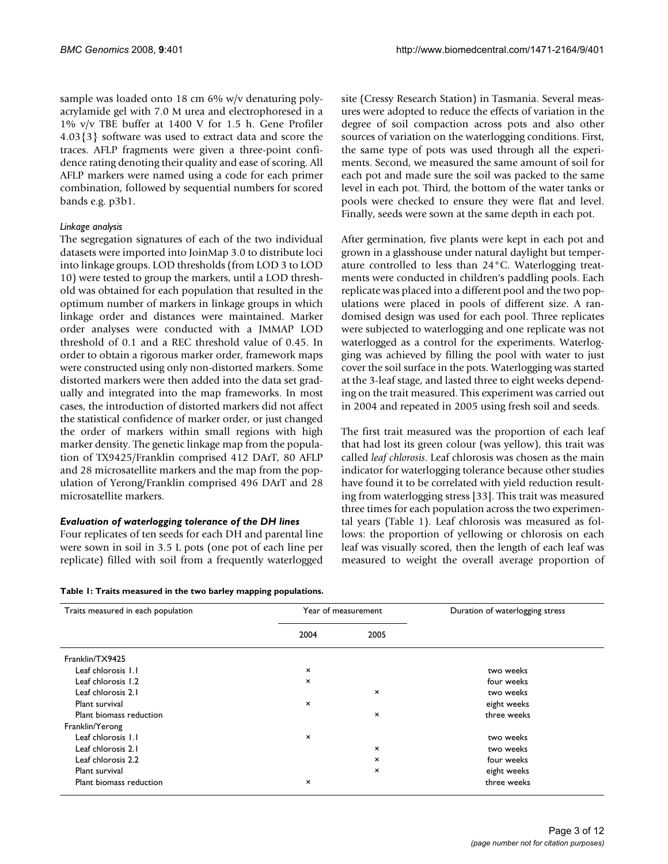sample was loaded onto 18 cm 6% w/v denaturing polyacrylamide gel with 7.0 M urea and electrophoresed in a 1% v/v TBE buffer at 1400 V for 1.5 h. Gene Profiler 4.03{3} software was used to extract data and score the traces. AFLP fragments were given a three-point confidence rating denoting their quality and ease of scoring. All AFLP markers were named using a code for each primer combination, followed by sequential numbers for scored bands e.g. p3b1.

#### *Linkage analysis*

The segregation signatures of each of the two individual datasets were imported into JoinMap 3.0 to distribute loci into linkage groups. LOD thresholds (from LOD 3 to LOD 10) were tested to group the markers, until a LOD threshold was obtained for each population that resulted in the optimum number of markers in linkage groups in which linkage order and distances were maintained. Marker order analyses were conducted with a JMMAP LOD threshold of 0.1 and a REC threshold value of 0.45. In order to obtain a rigorous marker order, framework maps were constructed using only non-distorted markers. Some distorted markers were then added into the data set gradually and integrated into the map frameworks. In most cases, the introduction of distorted markers did not affect the statistical confidence of marker order, or just changed the order of markers within small regions with high marker density. The genetic linkage map from the population of TX9425/Franklin comprised 412 DArT, 80 AFLP and 28 microsatellite markers and the map from the population of Yerong/Franklin comprised 496 DArT and 28 microsatellite markers.

# *Evaluation of waterlogging tolerance of the DH lines*

Four replicates of ten seeds for each DH and parental line were sown in soil in 3.5 L pots (one pot of each line per replicate) filled with soil from a frequently waterlogged site (Cressy Research Station) in Tasmania. Several measures were adopted to reduce the effects of variation in the degree of soil compaction across pots and also other sources of variation on the waterlogging conditions. First, the same type of pots was used through all the experiments. Second, we measured the same amount of soil for each pot and made sure the soil was packed to the same level in each pot. Third, the bottom of the water tanks or pools were checked to ensure they were flat and level. Finally, seeds were sown at the same depth in each pot.

After germination, five plants were kept in each pot and grown in a glasshouse under natural daylight but temperature controlled to less than 24°C. Waterlogging treatments were conducted in children's paddling pools. Each replicate was placed into a different pool and the two populations were placed in pools of different size. A randomised design was used for each pool. Three replicates were subjected to waterlogging and one replicate was not waterlogged as a control for the experiments. Waterlogging was achieved by filling the pool with water to just cover the soil surface in the pots. Waterlogging was started at the 3-leaf stage, and lasted three to eight weeks depending on the trait measured. This experiment was carried out in 2004 and repeated in 2005 using fresh soil and seeds.

The first trait measured was the proportion of each leaf that had lost its green colour (was yellow), this trait was called *leaf chlorosis*. Leaf chlorosis was chosen as the main indicator for waterlogging tolerance because other studies have found it to be correlated with yield reduction resulting from waterlogging stress [33]. This trait was measured three times for each population across the two experimental years (Table 1). Leaf chlorosis was measured as follows: the proportion of yellowing or chlorosis on each leaf was visually scored, then the length of each leaf was measured to weight the overall average proportion of

|  | Table 1: Traits measured in the two barley mapping populations. |  |  |
|--|-----------------------------------------------------------------|--|--|
|  |                                                                 |  |  |

| Traits measured in each population |          | Year of measurement | Duration of waterlogging stress |
|------------------------------------|----------|---------------------|---------------------------------|
|                                    | 2004     | 2005                |                                 |
| Franklin/TX9425                    |          |                     |                                 |
| Leaf chlorosis 1.1                 | $\times$ |                     | two weeks                       |
| Leaf chlorosis 1.2                 | ×        |                     | four weeks                      |
| Leaf chlorosis 2.1                 |          | $\times$            | two weeks                       |
| Plant survival                     | $\times$ |                     | eight weeks                     |
| Plant biomass reduction            |          | $\times$            | three weeks                     |
| Franklin/Yerong                    |          |                     |                                 |
| Leaf chlorosis 1.1                 | $\times$ |                     | two weeks                       |
| Leaf chlorosis 2.1                 |          | $\times$            | two weeks                       |
| Leaf chlorosis 2.2                 |          | $\times$            | four weeks                      |
| Plant survival                     |          | $\times$            | eight weeks                     |
| Plant biomass reduction            | ×        |                     | three weeks                     |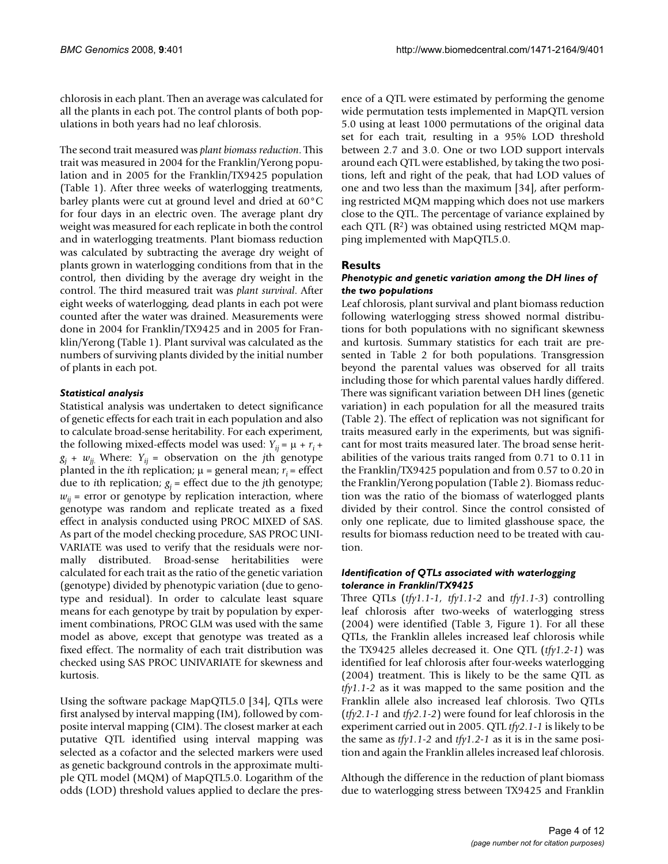chlorosis in each plant. Then an average was calculated for all the plants in each pot. The control plants of both populations in both years had no leaf chlorosis.

The second trait measured was *plant biomass reduction*. This trait was measured in 2004 for the Franklin/Yerong population and in 2005 for the Franklin/TX9425 population (Table 1). After three weeks of waterlogging treatments, barley plants were cut at ground level and dried at 60°C for four days in an electric oven. The average plant dry weight was measured for each replicate in both the control and in waterlogging treatments. Plant biomass reduction was calculated by subtracting the average dry weight of plants grown in waterlogging conditions from that in the control, then dividing by the average dry weight in the control. The third measured trait was *plant survival*. After eight weeks of waterlogging, dead plants in each pot were counted after the water was drained. Measurements were done in 2004 for Franklin/TX9425 and in 2005 for Franklin/Yerong (Table 1). Plant survival was calculated as the numbers of surviving plants divided by the initial number of plants in each pot.

# *Statistical analysis*

Statistical analysis was undertaken to detect significance of genetic effects for each trait in each population and also to calculate broad-sense heritability. For each experiment, the following mixed-effects model was used:  $Y_{ij} = \mu + r_i +$  $g_j + w_{jj}$ . Where:  $Y_{ij}$  = observation on the *j*th genotype planted in the *i*th replication;  $\mu$  = general mean;  $r_i$  = effect due to *i*th replication;  $g_i$  = effect due to the *j*th genotype;  $w_{ii}$  = error or genotype by replication interaction, where genotype was random and replicate treated as a fixed effect in analysis conducted using PROC MIXED of SAS. As part of the model checking procedure, SAS PROC UNI-VARIATE was used to verify that the residuals were normally distributed. Broad-sense heritabilities were calculated for each trait as the ratio of the genetic variation (genotype) divided by phenotypic variation (due to genotype and residual). In order to calculate least square means for each genotype by trait by population by experiment combinations, PROC GLM was used with the same model as above, except that genotype was treated as a fixed effect. The normality of each trait distribution was checked using SAS PROC UNIVARIATE for skewness and kurtosis.

Using the software package MapQTL5.0 [34], QTLs were first analysed by interval mapping (IM), followed by composite interval mapping (CIM). The closest marker at each putative QTL identified using interval mapping was selected as a cofactor and the selected markers were used as genetic background controls in the approximate multiple QTL model (MQM) of MapQTL5.0. Logarithm of the odds (LOD) threshold values applied to declare the presence of a QTL were estimated by performing the genome wide permutation tests implemented in MapQTL version 5.0 using at least 1000 permutations of the original data set for each trait, resulting in a 95% LOD threshold between 2.7 and 3.0. One or two LOD support intervals around each QTL were established, by taking the two positions, left and right of the peak, that had LOD values of one and two less than the maximum [34], after performing restricted MQM mapping which does not use markers close to the QTL. The percentage of variance explained by each QTL (R2) was obtained using restricted MQM mapping implemented with MapQTL5.0.

# **Results**

#### *Phenotypic and genetic variation among the DH lines of the two populations*

Leaf chlorosis, plant survival and plant biomass reduction following waterlogging stress showed normal distributions for both populations with no significant skewness and kurtosis. Summary statistics for each trait are presented in Table 2 for both populations. Transgression beyond the parental values was observed for all traits including those for which parental values hardly differed. There was significant variation between DH lines (genetic variation) in each population for all the measured traits (Table 2). The effect of replication was not significant for traits measured early in the experiments, but was significant for most traits measured later. The broad sense heritabilities of the various traits ranged from 0.71 to 0.11 in the Franklin/TX9425 population and from 0.57 to 0.20 in the Franklin/Yerong population (Table 2). Biomass reduction was the ratio of the biomass of waterlogged plants divided by their control. Since the control consisted of only one replicate, due to limited glasshouse space, the results for biomass reduction need to be treated with caution.

#### *Identification of QTLs associated with waterlogging tolerance in Franklin/TX9425*

Three QTLs (*tfy1.1-1, tfy1.1-2* and *tfy1.1-3*) controlling leaf chlorosis after two-weeks of waterlogging stress (2004) were identified (Table 3, Figure 1). For all these QTLs, the Franklin alleles increased leaf chlorosis while the TX9425 alleles decreased it. One QTL (*tfy1.2-1*) was identified for leaf chlorosis after four-weeks waterlogging (2004) treatment. This is likely to be the same QTL as *tfy1.1-2* as it was mapped to the same position and the Franklin allele also increased leaf chlorosis. Two QTLs (*tfy2.1-1* and *tfy2.1-2*) were found for leaf chlorosis in the experiment carried out in 2005. QTL *tfy2.1-1* is likely to be the same as *tfy1.1-2* and *tfy1.2-1* as it is in the same position and again the Franklin alleles increased leaf chlorosis.

Although the difference in the reduction of plant biomass due to waterlogging stress between TX9425 and Franklin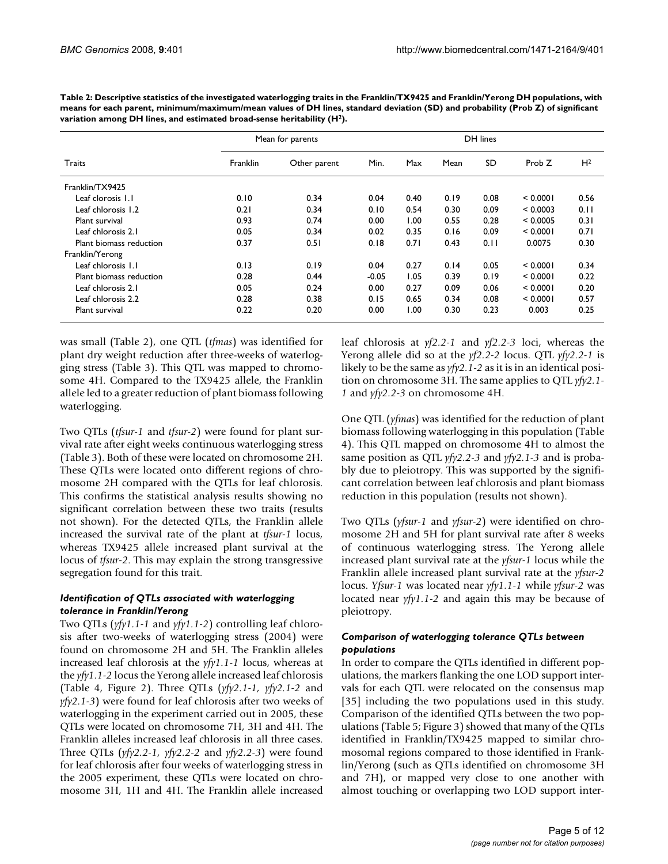|                         | Mean for parents |              |         | DH lines |      |      |          |                |
|-------------------------|------------------|--------------|---------|----------|------|------|----------|----------------|
| Traits                  | Franklin         | Other parent | Min.    | Max      | Mean | SD   | Prob Z   | H <sup>2</sup> |
| Franklin/TX9425         |                  |              |         |          |      |      |          |                |
| Leaf clorosis 1.1       | 0.10             | 0.34         | 0.04    | 0.40     | 0.19 | 0.08 | < 0.0001 | 0.56           |
| Leaf chlorosis 1.2      | 0.21             | 0.34         | 0.10    | 0.54     | 0.30 | 0.09 | < 0.0003 | 0.11           |
| Plant survival          | 0.93             | 0.74         | 0.00    | 1.00     | 0.55 | 0.28 | < 0.0005 | 0.31           |
| Leaf chlorosis 2.1      | 0.05             | 0.34         | 0.02    | 0.35     | 0.16 | 0.09 | < 0.0001 | 0.71           |
| Plant biomass reduction | 0.37             | 0.51         | 0.18    | 0.71     | 0.43 | 0.11 | 0.0075   | 0.30           |
| Franklin/Yerong         |                  |              |         |          |      |      |          |                |
| Leaf chlorosis 1.1      | 0.13             | 0.19         | 0.04    | 0.27     | 0.14 | 0.05 | < 0.0001 | 0.34           |
| Plant biomass reduction | 0.28             | 0.44         | $-0.05$ | 1.05     | 0.39 | 0.19 | < 0.0001 | 0.22           |
| Leaf chlorosis 2.1      | 0.05             | 0.24         | 0.00    | 0.27     | 0.09 | 0.06 | < 0.0001 | 0.20           |
| Leaf chlorosis 2.2      | 0.28             | 0.38         | 0.15    | 0.65     | 0.34 | 0.08 | < 0.0001 | 0.57           |
| Plant survival          | 0.22             | 0.20         | 0.00    | 1.00     | 0.30 | 0.23 | 0.003    | 0.25           |

**Table 2: Descriptive statistics of the investigated waterlogging traits in the Franklin/TX9425 and Franklin/Yerong DH populations, with means for each parent, minimum/maximum/mean values of DH lines, standard deviation (SD) and probability (Prob Z) of significant variation among DH lines, and estimated broad-sense heritability (H2).**

was small (Table 2), one QTL (*tfmas*) was identified for plant dry weight reduction after three-weeks of waterlogging stress (Table 3). This QTL was mapped to chromosome 4H. Compared to the TX9425 allele, the Franklin allele led to a greater reduction of plant biomass following waterlogging.

Two QTLs (*tfsur-1* and *tfsur-2*) were found for plant survival rate after eight weeks continuous waterlogging stress (Table 3). Both of these were located on chromosome 2H. These QTLs were located onto different regions of chromosome 2H compared with the QTLs for leaf chlorosis. This confirms the statistical analysis results showing no significant correlation between these two traits (results not shown). For the detected QTLs, the Franklin allele increased the survival rate of the plant at *tfsur-1* locus, whereas TX9425 allele increased plant survival at the locus of *tfsur-2*. This may explain the strong transgressive segregation found for this trait.

# *Identification of QTLs associated with waterlogging tolerance in Franklin/Yerong*

Two QTLs (*yfy1.1-1* and *yfy1.1-2*) controlling leaf chlorosis after two-weeks of waterlogging stress (2004) were found on chromosome 2H and 5H. The Franklin alleles increased leaf chlorosis at the *yfy1.1-1* locus, whereas at the *yfy1.1-2* locus the Yerong allele increased leaf chlorosis (Table 4, Figure 2). Three QTLs (*yfy2.1-1, yfy2.1-2* and *yfy2.1-3*) were found for leaf chlorosis after two weeks of waterlogging in the experiment carried out in 2005, these QTLs were located on chromosome 7H, 3H and 4H. The Franklin alleles increased leaf chlorosis in all three cases. Three QTLs (*yfy2.2-1, yfy2.2-2* and *yfy2.2-3*) were found for leaf chlorosis after four weeks of waterlogging stress in the 2005 experiment, these QTLs were located on chromosome 3H, 1H and 4H. The Franklin allele increased

leaf chlorosis at *yf2.2-1* and *yf2.2-3* loci, whereas the Yerong allele did so at the *yf2.2-2* locus. QTL *yfy2.2-1* is likely to be the same as *yfy2.1-2* as it is in an identical position on chromosome 3H. The same applies to QTL *yfy2.1- 1* and *yfy2.2-3* on chromosome 4H.

One QTL (*yfmas*) was identified for the reduction of plant biomass following waterlogging in this population (Table 4). This QTL mapped on chromosome 4H to almost the same position as QTL *yfy2.2-3* and *yfy2.1-3* and is probably due to pleiotropy. This was supported by the significant correlation between leaf chlorosis and plant biomass reduction in this population (results not shown).

Two QTLs (*yfsur-1* and *yfsur-2*) were identified on chromosome 2H and 5H for plant survival rate after 8 weeks of continuous waterlogging stress. The Yerong allele increased plant survival rate at the *yfsur-1* locus while the Franklin allele increased plant survival rate at the *yfsur-2* locus. *Yfsur-1* was located near *yfy1.1-1* while *yfsur-2* was located near *yfy1.1-2* and again this may be because of pleiotropy.

# *Comparison of waterlogging tolerance QTLs between populations*

In order to compare the QTLs identified in different populations, the markers flanking the one LOD support intervals for each QTL were relocated on the consensus map [35] including the two populations used in this study. Comparison of the identified QTLs between the two populations (Table 5; Figure 3) showed that many of the QTLs identified in Franklin/TX9425 mapped to similar chromosomal regions compared to those identified in Franklin/Yerong (such as QTLs identified on chromosome 3H and 7H), or mapped very close to one another with almost touching or overlapping two LOD support inter-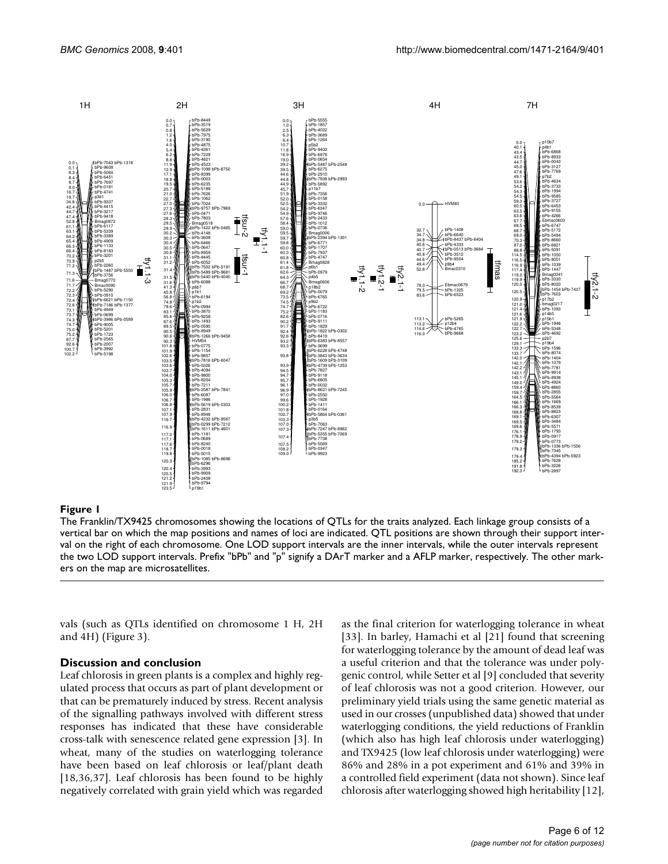

#### The Franklin/TX9425 chromosomes showing the lo **Figure 1** cations of QTLs for the traits analyzed

The Franklin/TX9425 chromosomes showing the locations of QTLs for the traits analyzed. Each linkage group consists of a vertical bar on which the map positions and names of loci are indicated. QTL positions are shown through their support interval on the right of each chromosome. One LOD support intervals are the inner intervals, while the outer intervals represent the two LOD support intervals. Prefix "bPb" and "p" signify a DArT marker and a AFLP marker, respectively. The other markers on the map are microsatellites.

vals (such as QTLs identified on chromosome 1 H, 2H and 4H) (Figure 3).

## **Discussion and conclusion**

Leaf chlorosis in green plants is a complex and highly regulated process that occurs as part of plant development or that can be prematurely induced by stress. Recent analysis of the signalling pathways involved with different stress responses has indicated that these have considerable cross-talk with senescence related gene expression [3]. In wheat, many of the studies on waterlogging tolerance have been based on leaf chlorosis or leaf/plant death [18,36,37]. Leaf chlorosis has been found to be highly negatively correlated with grain yield which was regarded as the final criterion for waterlogging tolerance in wheat [33]. In barley, Hamachi et al [21] found that screening for waterlogging tolerance by the amount of dead leaf was a useful criterion and that the tolerance was under polygenic control, while Setter et al [9] concluded that severity of leaf chlorosis was not a good criterion. However, our preliminary yield trials using the same genetic material as used in our crosses (unpublished data) showed that under waterlogging conditions, the yield reductions of Franklin (which also has high leaf chlorosis under waterlogging) and TX9425 (low leaf chlorosis under waterlogging) were 86% and 28% in a pot experiment and 61% and 39% in a controlled field experiment (data not shown). Since leaf chlorosis after waterlogging showed high heritability [12],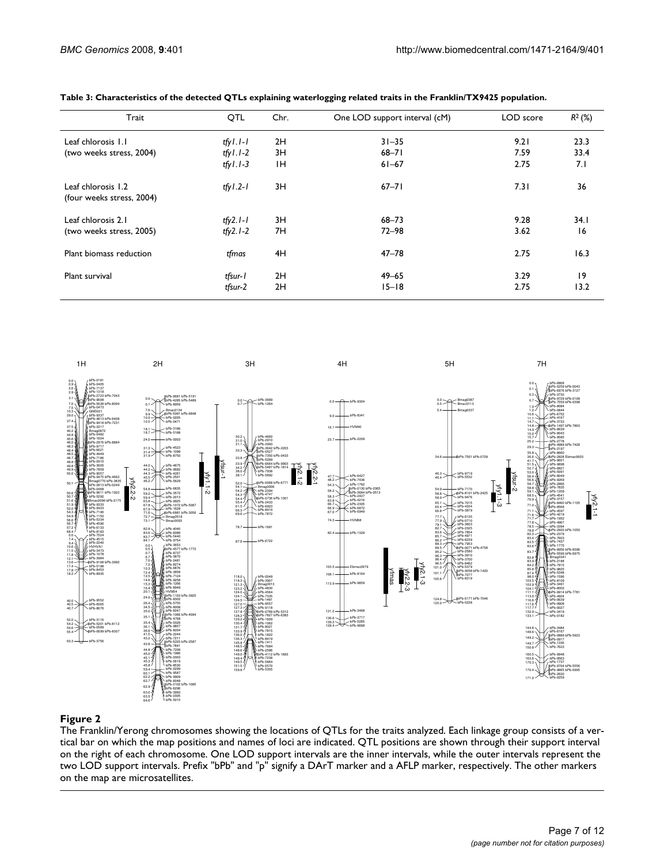| Trait                                           | <b>OTL</b> | Chr. | One LOD support interval (cM) | LOD score | $R^2$ (%) |  |
|-------------------------------------------------|------------|------|-------------------------------|-----------|-----------|--|
| Leaf chlorosis 1.1                              | $tfyl.l-l$ | 2H   | $31 - 35$                     | 9.21      | 23.3      |  |
| (two weeks stress, 2004)                        | $tfyl.1-2$ | 3H   | $68 - 71$                     | 7.59      | 33.4      |  |
|                                                 | $tfyl.1-3$ | IΗ   | $61 - 67$                     | 2.75      | 7.1       |  |
| Leaf chlorosis 1.2<br>(four weeks stress, 2004) | $tfy1.2-1$ | 3H   | $67 - 71$                     | 7.31      | 36        |  |
| Leaf chlorosis 2.1                              | $tfy2.1-1$ | 3H   | 68-73                         | 9.28      | 34.1      |  |
| (two weeks stress, 2005)                        | $tfy2.1-2$ | 7H   | $72 - 98$                     | 3.62      | 16        |  |
| Plant biomass reduction                         | tfmas      | 4H   | 47–78                         | 2.75      | 16.3      |  |
| Plant survival                                  | tfsur-1    | 2H   | $49 - 65$                     | 3.29      | 19        |  |
|                                                 | tfsur-2    | 2H   | $15 - 18$                     | 2.75      | 13.2      |  |

#### **Table 3: Characteristics of the detected QTLs explaining waterlogging related traits in the Franklin/TX9425 population.**



#### **Figure 2** The Franklin Yerong chromosomes showing the locations of  $\mathcal{L}$  for the traits analyzed the traits analyzed the traits analyzed the traits analyzed the traits analyzed the traits analyzed the traits analyzed t

The Franklin/Yerong chromosomes showing the locations of QTLs for the traits analyzed. Each linkage group consists of a vertical bar on which the map positions and names of loci are indicated. QTL positions are shown through their support interval on the right of each chromosome. One LOD support intervals are the inner intervals, while the outer intervals represent the two LOD support intervals. Prefix "bPb" and "p" signify a DArT marker and a AFLP marker, respectively. The other markers on the map are microsatellites.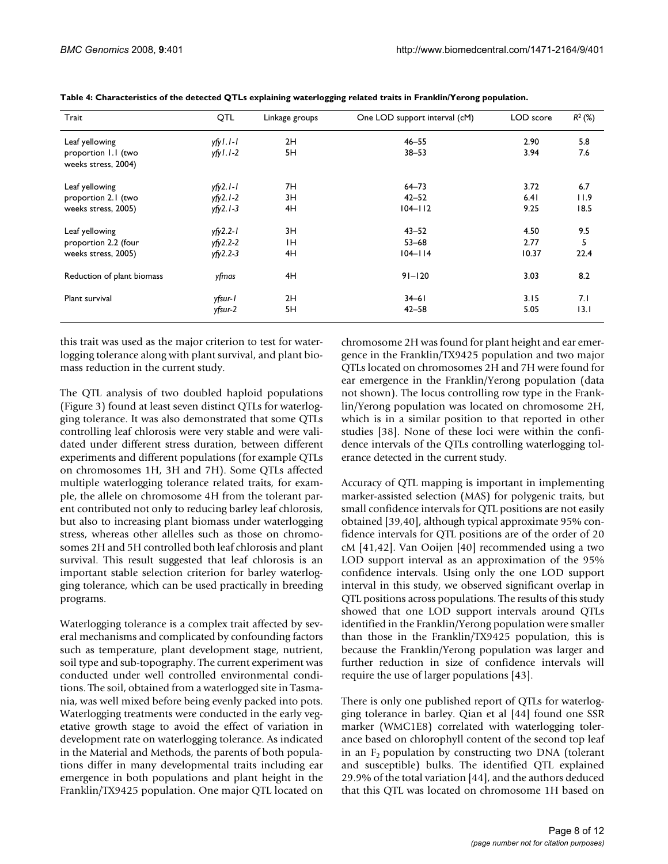| Trait                                      | QTL           | Linkage groups | One LOD support interval (cM) | LOD score | $R^2$ (%) |  |
|--------------------------------------------|---------------|----------------|-------------------------------|-----------|-----------|--|
| Leaf yellowing                             | $yfy$ . $I-I$ | 2H             | $46 - 55$                     | 2.90      | 5.8       |  |
| proportion I.I (two<br>weeks stress, 2004) | $yfy1.1-2$    | 5H             | $38 - 53$                     | 3.94      | 7.6       |  |
| Leaf yellowing                             | $yfy2.1-1$    | 7H             | $64 - 73$                     | 3.72      | 6.7       |  |
| proportion 2.1 (two                        | yfy2.1-2      | 3H             | $42 - 52$                     | 6.41      | 11.9      |  |
| weeks stress, 2005)                        | $yfy2.1-3$    | 4H             | $104 - 112$                   | 9.25      | 18.5      |  |
| Leaf yellowing                             | $yfy2.2-I$    | 3H             | $43 - 52$                     | 4.50      | 9.5       |  |
| proportion 2.2 (four                       | $yfy2.2-2$    | ΙH             | $53 - 68$                     | 2.77      | 5         |  |
| weeks stress, 2005)                        | $yfy2.2-3$    | 4H             | $104 - 114$                   | 10.37     | 22.4      |  |
| Reduction of plant biomass                 | yfmas         | 4H             | $91 - 120$                    | 3.03      | 8.2       |  |
| Plant survival                             | yfsur-1       | 2H             | $34 - 61$                     | 3.15      | 7.1       |  |
|                                            | yfsur-2       | 5H             | $42 - 58$                     | 5.05      | 13.1      |  |

**Table 4: Characteristics of the detected QTLs explaining waterlogging related traits in Franklin/Yerong population.**

this trait was used as the major criterion to test for waterlogging tolerance along with plant survival, and plant biomass reduction in the current study.

The QTL analysis of two doubled haploid populations (Figure 3) found at least seven distinct QTLs for waterlogging tolerance. It was also demonstrated that some QTLs controlling leaf chlorosis were very stable and were validated under different stress duration, between different experiments and different populations (for example QTLs on chromosomes 1H, 3H and 7H). Some QTLs affected multiple waterlogging tolerance related traits, for example, the allele on chromosome 4H from the tolerant parent contributed not only to reducing barley leaf chlorosis, but also to increasing plant biomass under waterlogging stress, whereas other allelles such as those on chromosomes 2H and 5H controlled both leaf chlorosis and plant survival. This result suggested that leaf chlorosis is an important stable selection criterion for barley waterlogging tolerance, which can be used practically in breeding programs.

Waterlogging tolerance is a complex trait affected by several mechanisms and complicated by confounding factors such as temperature, plant development stage, nutrient, soil type and sub-topography. The current experiment was conducted under well controlled environmental conditions. The soil, obtained from a waterlogged site in Tasmania, was well mixed before being evenly packed into pots. Waterlogging treatments were conducted in the early vegetative growth stage to avoid the effect of variation in development rate on waterlogging tolerance. As indicated in the Material and Methods, the parents of both populations differ in many developmental traits including ear emergence in both populations and plant height in the Franklin/TX9425 population. One major QTL located on

chromosome 2H was found for plant height and ear emergence in the Franklin/TX9425 population and two major QTLs located on chromosomes 2H and 7H were found for ear emergence in the Franklin/Yerong population (data not shown). The locus controlling row type in the Franklin/Yerong population was located on chromosome 2H, which is in a similar position to that reported in other studies [38]. None of these loci were within the confidence intervals of the QTLs controlling waterlogging tolerance detected in the current study.

Accuracy of QTL mapping is important in implementing marker-assisted selection (MAS) for polygenic traits, but small confidence intervals for QTL positions are not easily obtained [39,40], although typical approximate 95% confidence intervals for QTL positions are of the order of 20 cM [41,42]. Van Ooijen [40] recommended using a two LOD support interval as an approximation of the 95% confidence intervals. Using only the one LOD support interval in this study, we observed significant overlap in QTL positions across populations. The results of this study showed that one LOD support intervals around QTLs identified in the Franklin/Yerong population were smaller than those in the Franklin/TX9425 population, this is because the Franklin/Yerong population was larger and further reduction in size of confidence intervals will require the use of larger populations [43].

There is only one published report of QTLs for waterlogging tolerance in barley. Qian et al [44] found one SSR marker (WMC1E8) correlated with waterlogging tolerance based on chlorophyll content of the second top leaf in an  $F<sub>2</sub>$  population by constructing two DNA (tolerant and susceptible) bulks. The identified QTL explained 29.9% of the total variation [44], and the authors deduced that this QTL was located on chromosome 1H based on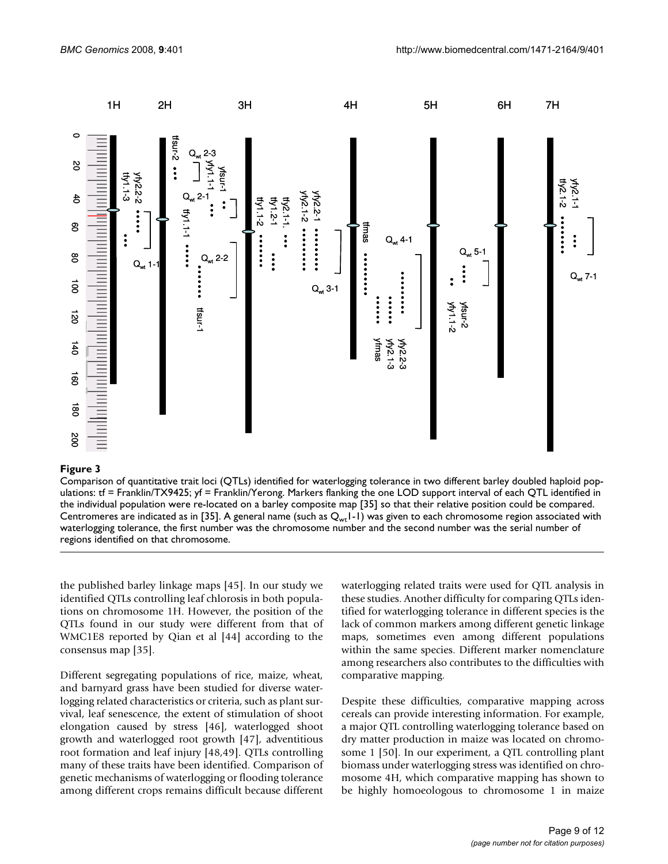

#### Comparison of quantitative trait loci (QTLs) ulations: tf = Franklin/TX9425; yf = Franklin/Yerong **Figure 3** identified for waterlogging tolerance in two different barley doubled haploid pop-

Comparison of quantitative trait loci (QTLs) identified for waterlogging tolerance in two different barley doubled haploid populations: tf = Franklin/TX9425; yf = Franklin/Yerong. Markers flanking the one LOD support interval of each QTL identified in the individual population were re-located on a barley composite map [35] so that their relative position could be compared. Centromeres are indicated as in [35]. A general name (such as  $Q_{wt}$ 1-1) was given to each chromosome region associated with waterlogging tolerance, the first number was the chromosome number and the second number was the serial number of regions identified on that chromosome.

the published barley linkage maps [45]. In our study we identified QTLs controlling leaf chlorosis in both populations on chromosome 1H. However, the position of the QTLs found in our study were different from that of WMC1E8 reported by Qian et al [44] according to the consensus map [35].

Different segregating populations of rice, maize, wheat, and barnyard grass have been studied for diverse waterlogging related characteristics or criteria, such as plant survival, leaf senescence, the extent of stimulation of shoot elongation caused by stress [46], waterlogged shoot growth and waterlogged root growth [47], adventitious root formation and leaf injury [48,49]. QTLs controlling many of these traits have been identified. Comparison of genetic mechanisms of waterlogging or flooding tolerance among different crops remains difficult because different waterlogging related traits were used for QTL analysis in these studies. Another difficulty for comparing QTLs identified for waterlogging tolerance in different species is the lack of common markers among different genetic linkage maps, sometimes even among different populations within the same species. Different marker nomenclature among researchers also contributes to the difficulties with comparative mapping.

Despite these difficulties, comparative mapping across cereals can provide interesting information. For example, a major QTL controlling waterlogging tolerance based on dry matter production in maize was located on chromosome 1 [50]. In our experiment, a QTL controlling plant biomass under waterlogging stress was identified on chromosome 4H, which comparative mapping has shown to be highly homoeologous to chromosome 1 in maize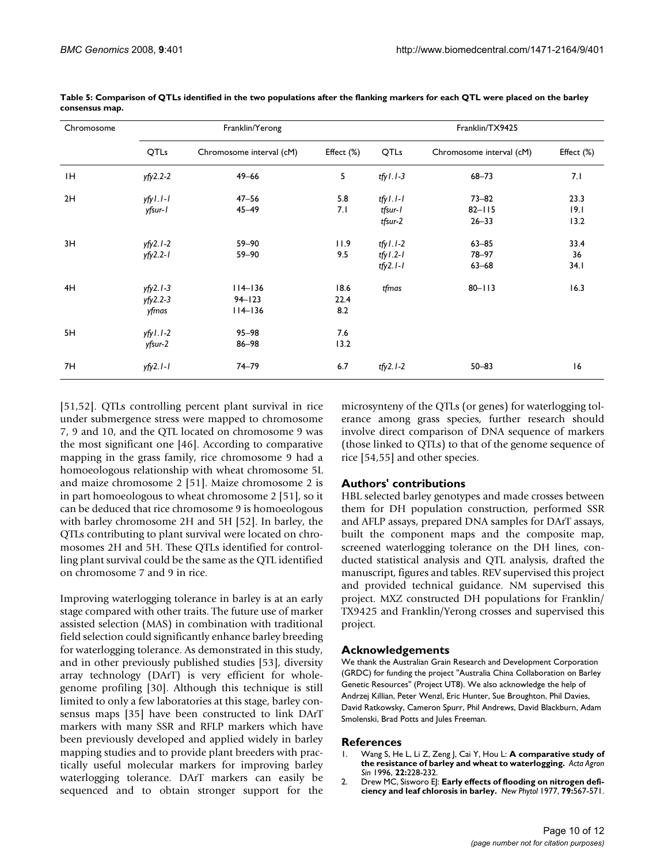| Chromosome | Franklin/Yerong                 |                                          |                     | Franklin/TX9425                        |                                      |                      |  |
|------------|---------------------------------|------------------------------------------|---------------------|----------------------------------------|--------------------------------------|----------------------|--|
|            | QTLs                            | Chromosome interval (cM)                 | Effect (%)          | QTLs                                   | Chromosome interval (cM)             | Effect (%)           |  |
| ΙH         | $yfy2.2-2$                      | $49 - 66$                                | 5                   | $tfyl.1-3$                             | $68 - 73$                            | 7.1                  |  |
| 2H         | $yfyI.I-I$<br>yfsur-1           | $47 - 56$<br>$45 - 49$                   | 5.8<br>7.1          | $tfyl.l-l$<br>tfsur-1<br>tfsur-2       | $73 - 82$<br>$82 - 115$<br>$26 - 33$ | 23.3<br>19.1<br>13.2 |  |
| 3H         | yfy2.1-2<br>$yfy2.2-I$          | $59 - 90$<br>$59 - 90$                   | 11.9<br>9.5         | $tfyl.1-2$<br>$tfy1.2-I$<br>$tfy2.1-1$ | $63 - 85$<br>78-97<br>$63 - 68$      | 33.4<br>36<br>34.1   |  |
| 4H         | yfy2.1-3<br>$yfy2.2-3$<br>yfmas | $114 - 136$<br>$94 - 123$<br>$114 - 136$ | 18.6<br>22.4<br>8.2 | tfmas                                  | $80 - 113$                           | 16.3                 |  |
| 5H         | $yfy1.1-2$<br>yfsur-2           | $95 - 98$<br>86-98                       | 7.6<br>13.2         |                                        |                                      |                      |  |
| 7H         | $yfy2.1-1$                      | $74 - 79$                                | 6.7                 | $tfy2.1-2$                             | $50 - 83$                            | 16                   |  |

**Table 5: Comparison of QTLs identified in the two populations after the flanking markers for each QTL were placed on the barley consensus map.**

[51,52]. QTLs controlling percent plant survival in rice under submergence stress were mapped to chromosome 7, 9 and 10, and the QTL located on chromosome 9 was the most significant one [46]. According to comparative mapping in the grass family, rice chromosome 9 had a homoeologous relationship with wheat chromosome 5L and maize chromosome 2 [51]. Maize chromosome 2 is in part homoeologous to wheat chromosome 2 [51], so it can be deduced that rice chromosome 9 is homoeologous with barley chromosome 2H and 5H [52]. In barley, the QTLs contributing to plant survival were located on chromosomes 2H and 5H. These QTLs identified for controlling plant survival could be the same as the QTL identified on chromosome 7 and 9 in rice.

Improving waterlogging tolerance in barley is at an early stage compared with other traits. The future use of marker assisted selection (MAS) in combination with traditional field selection could significantly enhance barley breeding for waterlogging tolerance. As demonstrated in this study, and in other previously published studies [53], diversity array technology (DArT) is very efficient for wholegenome profiling [30]. Although this technique is still limited to only a few laboratories at this stage, barley consensus maps [35] have been constructed to link DArT markers with many SSR and RFLP markers which have been previously developed and applied widely in barley mapping studies and to provide plant breeders with practically useful molecular markers for improving barley waterlogging tolerance. DArT markers can easily be sequenced and to obtain stronger support for the microsynteny of the QTLs (or genes) for waterlogging tolerance among grass species, further research should involve direct comparison of DNA sequence of markers (those linked to QTLs) to that of the genome sequence of rice [54,55] and other species.

# **Authors' contributions**

HBL selected barley genotypes and made crosses between them for DH population construction, performed SSR and AFLP assays, prepared DNA samples for DArT assays, built the component maps and the composite map, screened waterlogging tolerance on the DH lines, conducted statistical analysis and QTL analysis, drafted the manuscript, figures and tables. REV supervised this project and provided technical guidance. NM supervised this project. MXZ constructed DH populations for Franklin/ TX9425 and Franklin/Yerong crosses and supervised this project.

# **Acknowledgements**

We thank the Australian Grain Research and Development Corporation (GRDC) for funding the project "Australia China Collaboration on Barley Genetic Resources" (Project UT8). We also acknowledge the help of Andrzej Killian, Peter Wenzl, Eric Hunter, Sue Broughton, Phil Davies, David Ratkowsky, Cameron Spurr, Phil Andrews, David Blackburn, Adam Smolenski, Brad Potts and Jules Freeman.

#### **References**

- 1. Wang S, He L, Li Z, Zeng J, Cai Y, Hou L: **A comparative study of the resistance of barley and wheat to waterlogging.** *Acta Agron Sin* 1996, **22:**228-232.
- 2. Drew MC, Sisworo E|: Early effects of flooding on nitrogen defi**ciency and leaf chlorosis in barley.** *New Phytol* 1977, **79:**567-571.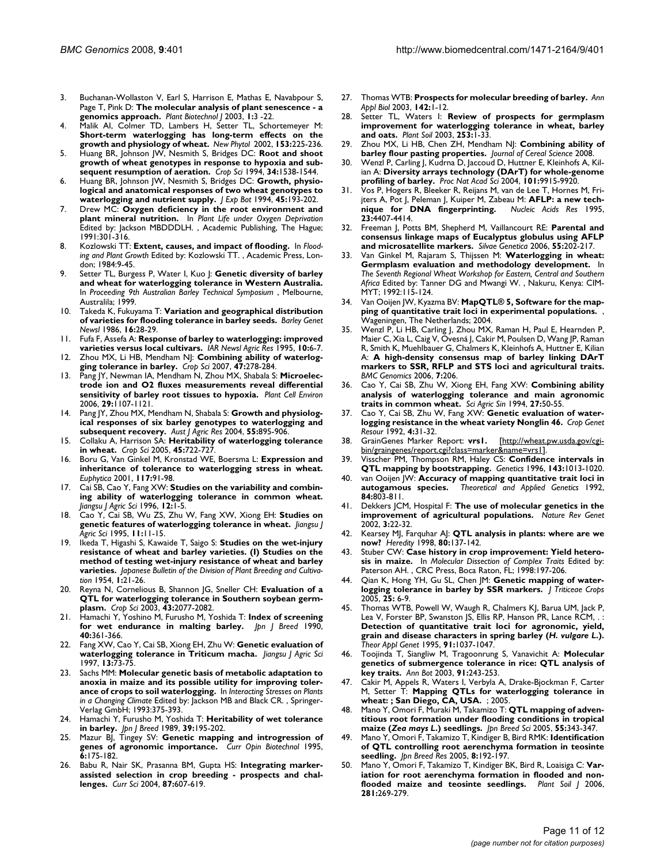- 3. Buchanan-Wollaston V, Earl S, Harrison E, Mathas E, Navabpour S, Page T, Pink D: **[The molecular analysis of plant senescence - a](http://www.ncbi.nlm.nih.gov/entrez/query.fcgi?cmd=Retrieve&db=PubMed&dopt=Abstract&list_uids=17147676) [genomics approach.](http://www.ncbi.nlm.nih.gov/entrez/query.fcgi?cmd=Retrieve&db=PubMed&dopt=Abstract&list_uids=17147676)** *Plant Biotechnol J* 2003, **1:**3 -22.
- 4. Malik AI, Colmer TD, Lambers H, Setter TL, Schortemeyer M: **Short-term waterlogging has long-term effects on the growth and physiology of wheat.** *New Phytol* 2002, **153:**225-236.
- 5. Huang BR, Johnson JW, Nesmith S, Bridges DC: **Root and shoot growth of wheat genotypes in response to hypoxia and subsequent resumption of aeration.** *Crop Sci* 1994, **34:**1538-1544.
- 6. Huang BR, Johnson JW, Nesmith S, Bridges DC: **Growth, physiological and anatomical responses of two wheat genotypes to waterlogging and nutrient supply.** *J Exp Bot* 1994, **45:**193-202.
- 7. Drew MC: **Oxygen deficiency in the root environment and plant mineral nutrition.** In *Plant Life under Oxygen Deprivation* Edited by: Jackson MBDDDLH. , Academic Publishing, The Hague; 1991:301-316.
- 8. Kozlowski TT: **Extent, causes, and impact of flooding.** In *Flooding and Plant Growth* Edited by: Kozlowski TT. , Academic Press, London; 1984:9-45.
- 9. Setter TL, Burgess P, Water I, Kuo J: **Genetic diversity of barley and wheat for waterlogging tolerance in Western Australia.** In *Proceeding 9th Australian Barley Technical Symposium* , Melbourne, Australila; 1999.
- 10. Takeda K, Fukuyama T: **Variation and geographical distribution of varieties for flooding tolerance in barley seeds.** *Barley Genet Newsl* 1986, **16:**28-29.
- 11. Fufa F, Assefa A: **Response of barley to waterlogging: improved varieties versus local cultivars.** *IAR Newsl Agric Res* 1995, **10:**6-7.
- 12. Zhou MX, Li HB, Mendham NJ: **Combining ability of waterlogging tolerance in barley.** *Crop Sci* 2007, **47:**278-284.
- 13. Pang JY, Newman IA, Mendham N, Zhou MX, Shabala S: **[Microelec](http://www.ncbi.nlm.nih.gov/entrez/query.fcgi?cmd=Retrieve&db=PubMed&dopt=Abstract&list_uids=17080937)[trode ion and O2 fluxes measurements reveal differential](http://www.ncbi.nlm.nih.gov/entrez/query.fcgi?cmd=Retrieve&db=PubMed&dopt=Abstract&list_uids=17080937) [sensitivity of barley root tissues to hypoxia.](http://www.ncbi.nlm.nih.gov/entrez/query.fcgi?cmd=Retrieve&db=PubMed&dopt=Abstract&list_uids=17080937)** *Plant Cell Environ* 2006, **29:**1107-1121.
- 14. Pang JY, Zhou MX, Mendham N, Shabala S: **Growth and physiological responses of six barley genotypes to waterlogging and subsequent recovery.** *Aust J Agric Res* 2004, **55:**895-906.
- 15. Collaku A, Harrison SA: **Heritability of waterlogging tolerance in wheat.** *Crop Sci* 2005, **45:**722-727.
- 16. Boru G, Van Ginkel M, Kronstad WE, Boersma L: **Expression and inheritance of tolerance to waterlogging stress in wheat.** *Euphytica* 2001, **117:**91-98.
- 17. Cai SB, Cao Y, Fang XW: **Studies on the variability and combining ability of waterlogging tolerance in common wheat.** *Jiangsu J Agric Sci* 1996, **12:**1-5.
- 18. Cao Y, Cai SB, Wu ZS, Zhu W, Fang XW, Xiong EH: **Studies on genetic features of waterlogging tolerance in wheat.** *Jiangsu J Agric Sci* 1995, **11:**11-15.
- 19. Ikeda T, Higashi S, Kawaide T, Saigo S: **Studies on the wet-injury resistance of wheat and barley varieties. (I) Studies on the method of testing wet-injury resistance of wheat and barley varieties.** *Japanese Bulletin of the Division of Plant Breeding and Cultivation* 1954, **1:**21-26.
- 20. Reyna N, Cornelious B, Shannon JG, Sneller CH: **Evaluation of a QTL for waterlogging tolerance in Southern soybean germplasm.** *Crop Sci* 2003, **43:**2077-2082.
- 21. Hamachi Y, Yoshino M, Furusho M, Yoshida T: **Index of screening for wet endurance in malting barley.** *Jpn J Breed* 1990, **40:**361-366.
- 22. Fang XW, Cao Y, Cai SB, Xiong EH, Zhu W: **Genetic evaluation of waterlogging tolerance in Triticum macha.** *Jiangsu J Agric Sci* 1997, **13:**73-75.
- 23. Sachs MM: **Molecular genetic basis of metabolic adaptation to anoxia in maize and its possible utility for improving tolerance of crops to soil waterlogging.** In *Interacting Stresses on Plants in a Changing Climate* Edited by: Jackson MB and Black CR. , Springer-Verlag GmbH; 1993:375-393.
- 24. Hamachi Y, Furusho M, Yoshida T: **Heritability of wet tolerance in barley.** *Jpn J Breed* 1989, **39:**195-202.
- 25. Mazur BJ, Tingey SV: **Genetic mapping and introgression of genes of agronomic importance.** *Curr Opin Biotechnol* 1995, **6:**175-182.
- 26. Babu R, Nair SK, Prasanna BM, Gupta HS: **Integrating markerassisted selection in crop breeding - prospects and challenges.** *Curr Sci* 2004, **87:**607-619.
- 27. Thomas WTB: **Prospects for molecular breeding of barley.** *Ann Appl Biol* 2003, **142:**1-12.
- 28. Setter TL, Waters I: **Review of prospects for germplasm improvement for waterlogging tolerance in wheat, barley and oats.** *Plant Soil* 2003, **253:**1-33.
- 29. Zhou MX, Li HB, Chen ZH, Mendham NJ: **Combining ability of barley flour pasting properties.** *Journal of Cereal Science* 2008.
- Wenzl P, Carling J, Kudrna D, Jaccoud D, Huttner E, Kleinhofs A, Kilian A: **[Diversity arrays technology \(DArT\) for whole-genome](http://www.ncbi.nlm.nih.gov/entrez/query.fcgi?cmd=Retrieve&db=PubMed&dopt=Abstract&list_uids=15192146) [profiling of barley.](http://www.ncbi.nlm.nih.gov/entrez/query.fcgi?cmd=Retrieve&db=PubMed&dopt=Abstract&list_uids=15192146)** *Proc Nat Acad Sci* 2004, **101:**9915-9920.
- 31. Vos P, Hogers R, Bleeker R, Reijans M, van de Lee T, Hornes M, Frijters A, Pot J, Peleman J, Kuiper M, Zabeau M: **[AFLP: a new tech](http://www.ncbi.nlm.nih.gov/entrez/query.fcgi?cmd=Retrieve&db=PubMed&dopt=Abstract&list_uids=7501463)[nique for DNA fingerprinting.](http://www.ncbi.nlm.nih.gov/entrez/query.fcgi?cmd=Retrieve&db=PubMed&dopt=Abstract&list_uids=7501463)** *Nucleic Acids Res* 1995, **23:**4407-4414.
- 32. Freeman J, Potts BM, Shepherd M, Vaillancourt RE: **Parental and consensus linkage maps of Eucalyptus globulus using AFLP and microsatellite markers.** *Silvae Genetica* 2006, **55:**202-217.
- 33. Van Ginkel M, Rajaram S, Thijssen M: **Waterlogging in wheat: Germplasm evaluation and methodology development.** In *The Seventh Regional Wheat Workshop for Eastern, Central and Southern Africa* Edited by: Tanner DG and Mwangi W. , Nakuru, Kenya: CIM-MYT; 1992:115-124.
- 34. Van Ooijen JW, Kyazma BV: **MapQTL® 5, Software for the mapping of quantitative trait loci in experimental populations.** , Wageningen, The Netherlands; 2004.
- Wenzl P, Li HB, Carling J, Zhou MX, Raman H, Paul E, Hearnden P, Maier C, Xia L, Caig V, Ovesná J, Cakir M, Poulsen D, Wang JP, Raman R, Smith K, Muehlbauer G, Chalmers K, Kleinhofs A, Huttner E, Kilian A: **[A high-density consensus map of barley linking DArT](http://www.ncbi.nlm.nih.gov/entrez/query.fcgi?cmd=Retrieve&db=PubMed&dopt=Abstract&list_uids=16904008) [markers to SSR, RFLP and STS loci and agricultural traits.](http://www.ncbi.nlm.nih.gov/entrez/query.fcgi?cmd=Retrieve&db=PubMed&dopt=Abstract&list_uids=16904008)** *BMC Genomics* 2006, **7:**206.
- 36. Cao Y, Cai SB, Zhu W, Xiong EH, Fang XW: **Combining ability analysis of waterlogging tolerance and main agronomic traits in common wheat.** *Sci Agric Sin* 1994, **27:**50-55.
- 37. Cao Y, Cai SB, Zhu W, Fang XW: **Genetic evaluation of waterlogging resistance in the wheat variety Nonglin 46.** *Crop Genet Resour* 1992, **4:**31-32.
- 38. GrainGenes Marker Report: **vrs1.** [\[http://wheat.pw.usda.gov/cgi](http://wheat.pw.usda.gov/cgi-bin/graingenes/report.cgi?class=marker&name=vrs1)[bin/graingenes/report.cgi?class=marker&name=vrs1](http://wheat.pw.usda.gov/cgi-bin/graingenes/report.cgi?class=marker&name=vrs1)].
- 39. Visscher PM, Thompson RM, Haley CS: **[Confidence intervals in](http://www.ncbi.nlm.nih.gov/entrez/query.fcgi?cmd=Retrieve&db=PubMed&dopt=Abstract&list_uids=8725246) [QTL mapping by bootstrapping.](http://www.ncbi.nlm.nih.gov/entrez/query.fcgi?cmd=Retrieve&db=PubMed&dopt=Abstract&list_uids=8725246)** *Genetics* 1996, **143:**1013-1020.
- 40. van Ooijen JW: **Accuracy of mapping quantitative trait loci in autogamous species.** *Theoretical and Applied Genetics* 1992, **84:**803-811.
- 41. Dekkers JCM, Hospital F: **The use of molecular genetics in the improvement of agricultural populations.** *Nature Rev Genet* 2002, **3:**22-32.
- 42. Kearsey MJ, Farquhar AJ: **[QTL analysis in plants: where are we](http://www.ncbi.nlm.nih.gov/entrez/query.fcgi?cmd=Retrieve&db=PubMed&dopt=Abstract&list_uids=9503632) [now?](http://www.ncbi.nlm.nih.gov/entrez/query.fcgi?cmd=Retrieve&db=PubMed&dopt=Abstract&list_uids=9503632)** *Heredity* 1998, **80:**137-142.
- 43. Stuber CW: **Case history in crop improvement: Yield heterosis in maize.** In *Molecular Dissection of Complex Traits* Edited by: Paterson AH. , CRC Press, Boca Raton, FL; 1998:197-206.
- Qian K, Hong YH, Gu SL, Chen JM: Genetic mapping of water**logging tolerance in barley by SSR markers.** *J Triticeae Crops* 2005, **25:** 6-9.
- 45. Thomas WTB, Powell W, Waugh R, Chalmers KJ, Barua UM, Jack P, Lea V, Forster BP, Swanston JS, Ellis RP, Hanson PR, Lance RCM, . **Detection of quantitative trait loci for agronomic, yield, grain and disease characters in spring barley (***H. vulgare L***.).** *Theor Appl Genet* 1995, **91:**1037-1047.
- 46. Toojinda T, Siangliw M, Tragoonrung S, Vanavichit A: **[Molecular](http://www.ncbi.nlm.nih.gov/entrez/query.fcgi?cmd=Retrieve&db=PubMed&dopt=Abstract&list_uids=12509344) [genetics of submergence tolerance in rice: QTL analysis of](http://www.ncbi.nlm.nih.gov/entrez/query.fcgi?cmd=Retrieve&db=PubMed&dopt=Abstract&list_uids=12509344) [key traits.](http://www.ncbi.nlm.nih.gov/entrez/query.fcgi?cmd=Retrieve&db=PubMed&dopt=Abstract&list_uids=12509344)** *Ann Bot* 2003, **91:**243-253.
- 47. Cakir M, Appels R, Waters I, Verbyla A, Drake-Bjockman F, Carter M, Setter T: **Mapping QTLs for waterlogging tolerance in wheat: ; San Diego, CA, USA.** ; 2005.
- 48. Mano Y, Omori F, Muraki M, Takamizo T: **QTL mapping of adventitious root formation under flooding conditions in tropical maize (***Zea mays L***.) seedlings.** *Jpn Breed Sci* 2005, **55:**343-347.
- 49. Mano Y, Omori F, Takamizo T, Kindiger B, Bird RMK: **Identification of QTL controlling root aerenchyma formation in teosinte seedling.** *Jpn Breed Res* 2005, **8:**192-197.
- 50. Mano Y, Omori F, Takamizo T, Kindiger BK, Bird R, Loaisiga C: **Variation for root aerenchyma formation in flooded and nonflooded maize and teosinte seedlings.** *Plant Soil J* 2006, **281:**269-279.